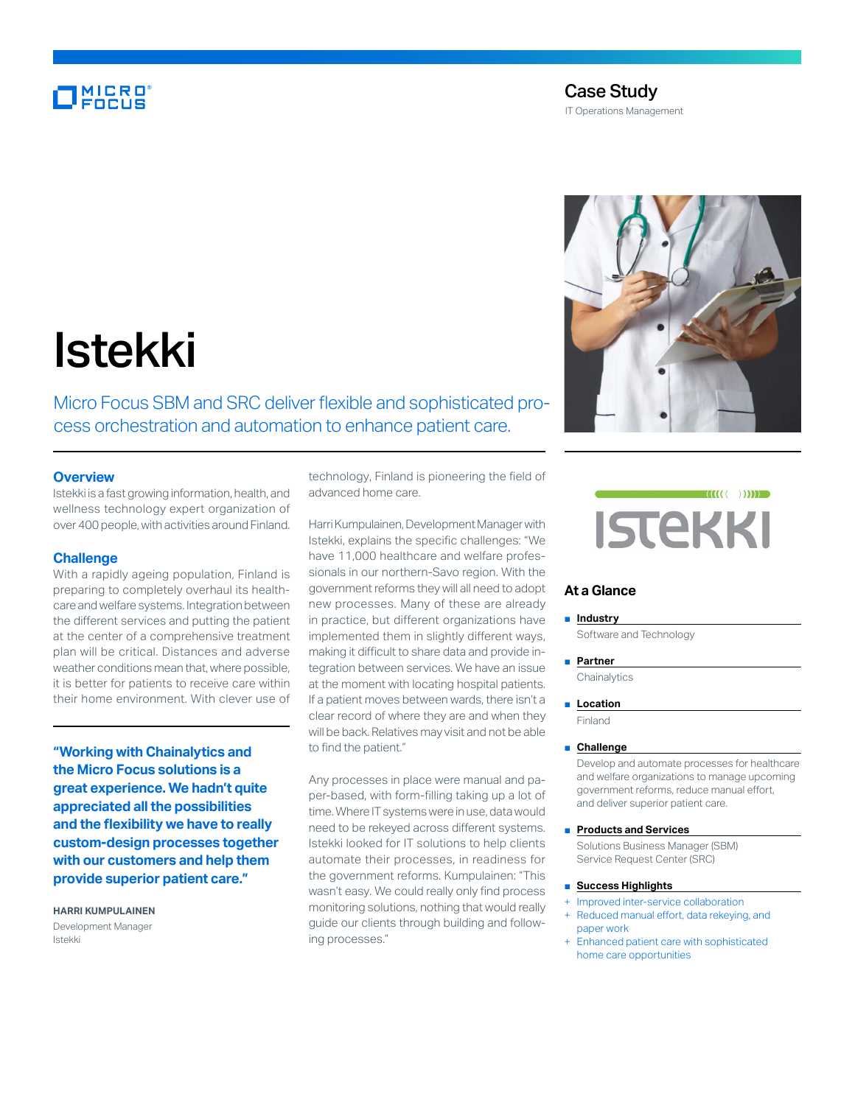# **MICRO**<br>FOCUS



# Istekki

Micro Focus SBM and SRC deliver flexible and sophisticated process orchestration and automation to enhance patient care.

## **Overview**

Istekki is a fast growing information, health, and wellness technology expert organization of over 400 people, with activities around Finland.

### **Challenge**

With a rapidly ageing population, Finland is preparing to completely overhaul its healthcare and welfare systems. Integration between the different services and putting the patient at the center of a comprehensive treatment plan will be critical. Distances and adverse weather conditions mean that, where possible, it is better for patients to receive care within their home environment. With clever use of

**"Working with Chainalytics and the Micro Focus solutions is a great experience. We hadn't quite appreciated all the possibilities and the flexibility we have to really custom-design processes together with our customers and help them provide superior patient care."**

**HARRI KUMPULAINEN** Development Manager Istekki

technology, Finland is pioneering the field of advanced home care.

Harri Kumpulainen, Development Manager with Istekki, explains the specific challenges: "We have 11,000 healthcare and welfare professionals in our northern-Savo region. With the government reforms they will all need to adopt new processes. Many of these are already in practice, but different organizations have implemented them in slightly different ways, making it difficult to share data and provide integration between services. We have an issue at the moment with locating hospital patients. If a patient moves between wards, there isn't a clear record of where they are and when they will be back. Relatives may visit and not be able to find the patient."

Any processes in place were manual and paper-based, with form-filling taking up a lot of time. Where IT systems were in use, data would need to be rekeyed across different systems. Istekki looked for IT solutions to help clients automate their processes, in readiness for the government reforms. Kumpulainen: "This wasn't easy. We could really only find process monitoring solutions, nothing that would really guide our clients through building and following processes."



# **At a Glance**

#### ■ **Industry**

Software and Technology

■ **Partner**

**Chainalytics** 

■ **Location** 

Finland

#### ■ **Challenge**

Develop and automate processes for healthcare and welfare organizations to manage upcoming government reforms, reduce manual effort, and deliver superior patient care.

■ **Products and Services**

Solutions Business Manager (SBM) Service Request Center (SRC)

#### ■ **Success Highlights**

- Improved inter-service collaboration Reduced manual effort, data rekeying, and
- paper work
- Enhanced patient care with sophisticated home care opportunities